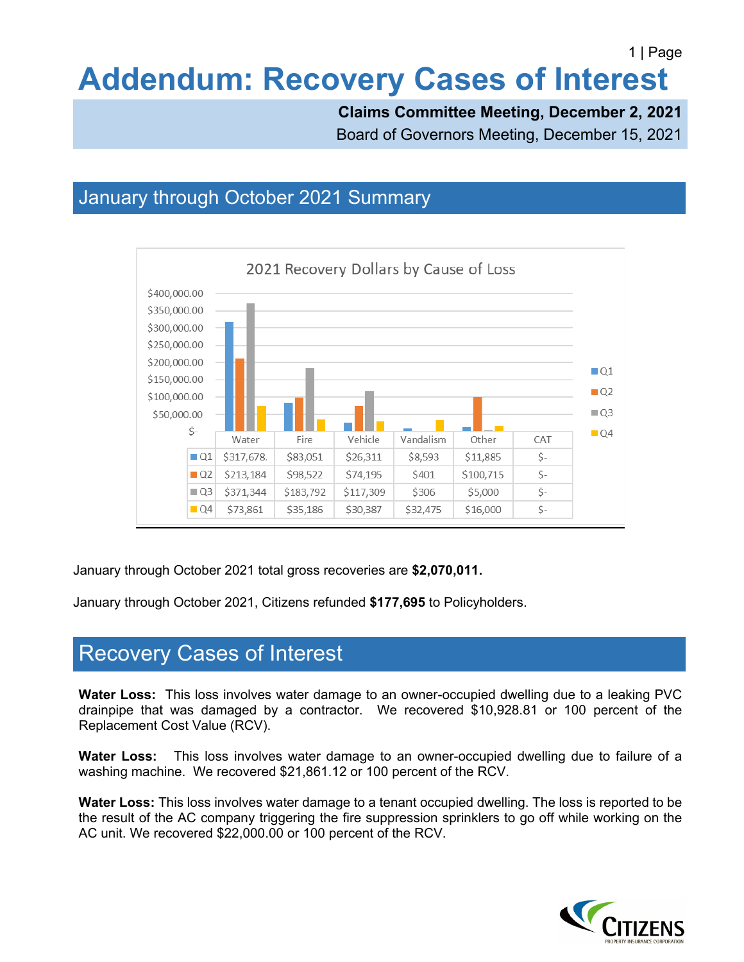# **Addendum: Recovery Cases of Interest**

**Claims Committee Meeting, December 2, 2021**

Board of Governors Meeting, December 15, 2021

### January through October 2021 Summary



January through October 2021 total gross recoveries are **\$2,070,011.**

January through October 2021, Citizens refunded **\$177,695** to Policyholders.

### Recovery Cases of Interest

**Water Loss:** This loss involves water damage to an owner-occupied dwelling due to a leaking PVC drainpipe that was damaged by a contractor. We recovered \$10,928.81 or 100 percent of the Replacement Cost Value (RCV).

**Water Loss:** This loss involves water damage to an owner-occupied dwelling due to failure of a washing machine. We recovered \$21,861.12 or 100 percent of the RCV.

**Water Loss:** This loss involves water damage to a tenant occupied dwelling. The loss is reported to be the result of the AC company triggering the fire suppression sprinklers to go off while working on the AC unit. We recovered \$22,000.00 or 100 percent of the RCV.